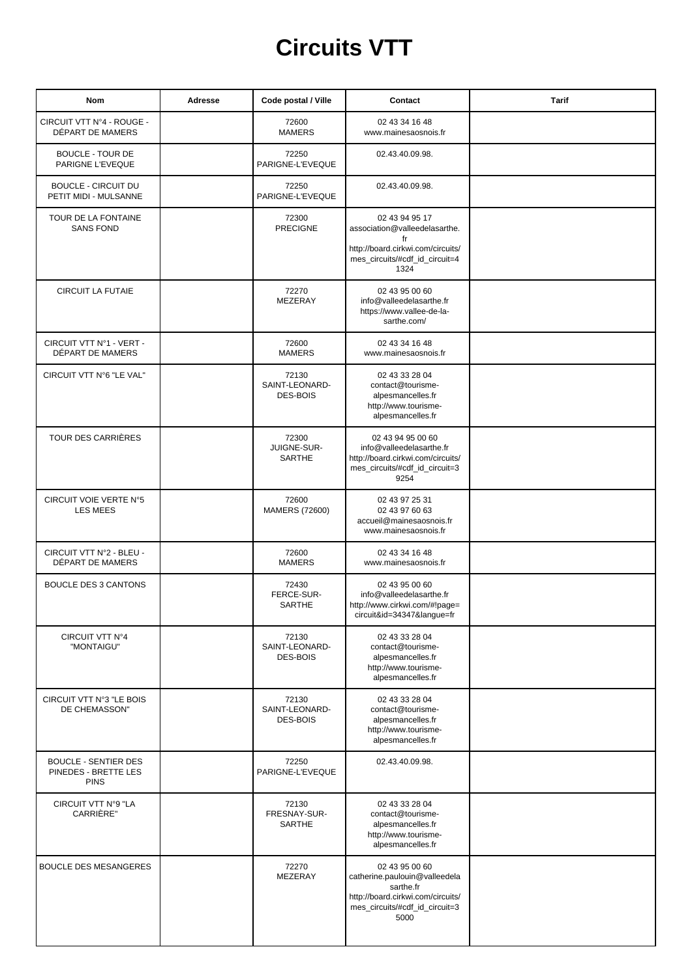## **Circuits VTT**

| Nom                                                                | Adresse | Code postal / Ville                        | Contact                                                                                                                                     | <b>Tarif</b> |
|--------------------------------------------------------------------|---------|--------------------------------------------|---------------------------------------------------------------------------------------------------------------------------------------------|--------------|
| CIRCUIT VTT N°4 - ROUGE -<br>DÉPART DE MAMERS                      |         | 72600<br><b>MAMERS</b>                     | 02 43 34 16 48<br>www.mainesaosnois.fr                                                                                                      |              |
| <b>BOUCLE - TOUR DE</b><br>PARIGNE L'EVEQUE                        |         | 72250<br>PARIGNE-L'EVEQUE                  | 02.43.40.09.98.                                                                                                                             |              |
| <b>BOUCLE - CIRCUIT DU</b><br>PETIT MIDI - MULSANNE                |         | 72250<br>PARIGNE-L'EVEQUE                  | 02.43.40.09.98.                                                                                                                             |              |
| TOUR DE LA FONTAINE<br><b>SANS FOND</b>                            |         | 72300<br><b>PRECIGNE</b>                   | 02 43 94 95 17<br>association@valleedelasarthe.<br>fr<br>http://board.cirkwi.com/circuits/<br>mes_circuits/#cdf_id_circuit=4<br>1324        |              |
| <b>CIRCUIT LA FUTAIE</b>                                           |         | 72270<br>MEZERAY                           | 02 43 95 00 60<br>info@valleedelasarthe.fr<br>https://www.vallee-de-la-<br>sarthe.com/                                                      |              |
| CIRCUIT VTT Nº1 - VERT -<br>DÉPART DE MAMERS                       |         | 72600<br><b>MAMERS</b>                     | 02 43 34 16 48<br>www.mainesaosnois.fr                                                                                                      |              |
| CIRCUIT VTT N°6 "LE VAL"                                           |         | 72130<br>SAINT-LEONARD-<br><b>DES-BOIS</b> | 02 43 33 28 04<br>contact@tourisme-<br>alpesmancelles.fr<br>http://www.tourisme-<br>alpesmancelles.fr                                       |              |
| TOUR DES CARRIÈRES                                                 |         | 72300<br>JUIGNE-SUR-<br>SARTHE             | 02 43 94 95 00 60<br>info@valleedelasarthe.fr<br>http://board.cirkwi.com/circuits/<br>mes_circuits/#cdf_id_circuit=3<br>9254                |              |
| CIRCUIT VOIE VERTE N°5<br><b>LES MEES</b>                          |         | 72600<br><b>MAMERS (72600)</b>             | 02 43 97 25 31<br>02 43 97 60 63<br>accueil@mainesaosnois.fr<br>www.mainesaosnois.fr                                                        |              |
| CIRCUIT VTT N°2 - BLEU -<br>DÉPART DE MAMERS                       |         | 72600<br><b>MAMERS</b>                     | 02 43 34 16 48<br>www.mainesaosnois.fr                                                                                                      |              |
| <b>BOUCLE DES 3 CANTONS</b>                                        |         | 72430<br>FERCE-SUR-<br>SARTHE              | 02 43 95 00 60<br>info@valleedelasarthe.fr<br>http://www.cirkwi.com/#!page=<br>circuit&id=34347&langue=fr                                   |              |
| CIRCUIT VTT N°4<br>"MONTAIGU"                                      |         | 72130<br>SAINT-LEONARD-<br><b>DES-BOIS</b> | 02 43 33 28 04<br>contact@tourisme-<br>alpesmancelles.fr<br>http://www.tourisme-<br>alpesmancelles.fr                                       |              |
| CIRCUIT VTT N°3 "LE BOIS<br>DE CHEMASSON"                          |         | 72130<br>SAINT-LEONARD-<br><b>DES-BOIS</b> | 02 43 33 28 04<br>contact@tourisme-<br>alpesmancelles.fr<br>http://www.tourisme-<br>alpesmancelles.fr                                       |              |
| <b>BOUCLE - SENTIER DES</b><br>PINEDES - BRETTE LES<br><b>PINS</b> |         | 72250<br>PARIGNE-L'EVEQUE                  | 02.43.40.09.98.                                                                                                                             |              |
| CIRCUIT VTT N°9 "LA<br>CARRIÈRE"                                   |         | 72130<br>FRESNAY-SUR-<br><b>SARTHE</b>     | 02 43 33 28 04<br>contact@tourisme-<br>alpesmancelles.fr<br>http://www.tourisme-<br>alpesmancelles.fr                                       |              |
| <b>BOUCLE DES MESANGERES</b>                                       |         | 72270<br>MEZERAY                           | 02 43 95 00 60<br>catherine.paulouin@valleedela<br>sarthe.fr<br>http://board.cirkwi.com/circuits/<br>mes_circuits/#cdf_id_circuit=3<br>5000 |              |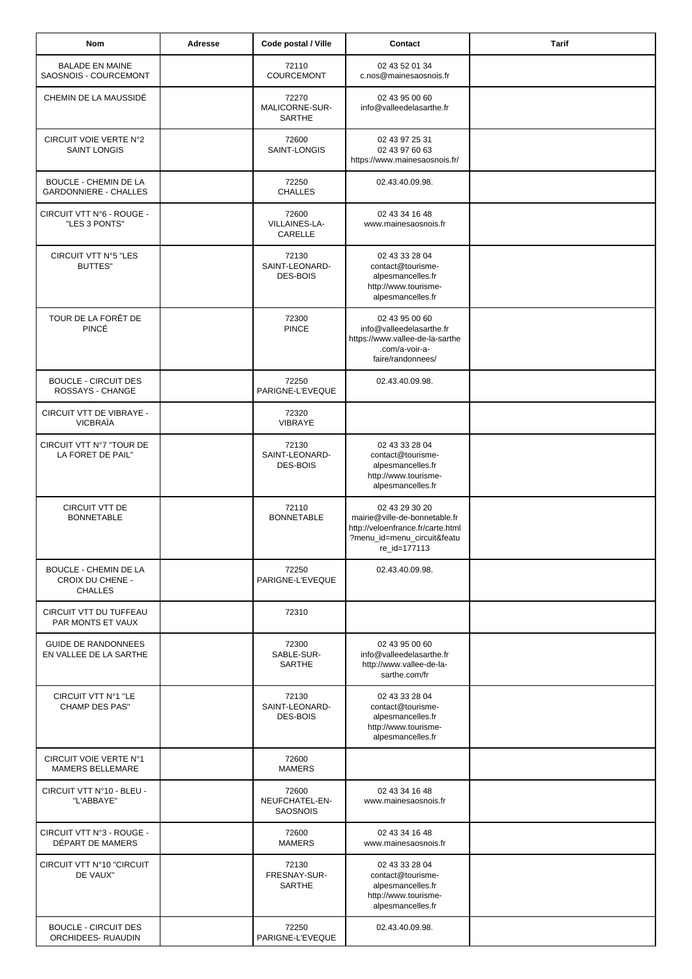| Nom                                                                | Adresse | Code postal / Ville                        | Contact                                                                                                                             | <b>Tarif</b> |
|--------------------------------------------------------------------|---------|--------------------------------------------|-------------------------------------------------------------------------------------------------------------------------------------|--------------|
| <b>BALADE EN MAINE</b><br>SAOSNOIS - COURCEMONT                    |         | 72110<br><b>COURCEMONT</b>                 | 02 43 52 01 34<br>c.nos@mainesaosnois.fr                                                                                            |              |
| CHEMIN DE LA MAUSSIDÉ                                              |         | 72270<br>MALICORNE-SUR-<br><b>SARTHE</b>   | 02 43 95 00 60<br>info@valleedelasarthe.fr                                                                                          |              |
| CIRCUIT VOIE VERTE N°2<br><b>SAINT LONGIS</b>                      |         | 72600<br>SAINT-LONGIS                      | 02 43 97 25 31<br>02 43 97 60 63<br>https://www.mainesaosnois.fr/                                                                   |              |
| <b>BOUCLE - CHEMIN DE LA</b><br><b>GARDONNIERE - CHALLES</b>       |         | 72250<br><b>CHALLES</b>                    | 02.43.40.09.98.                                                                                                                     |              |
| CIRCUIT VTT N°6 - ROUGE -<br>"LES 3 PONTS"                         |         | 72600<br>VILLAINES-LA-<br>CARELLE          | 02 43 34 16 48<br>www.mainesaosnois.fr                                                                                              |              |
| CIRCUIT VTT N°5 "LES<br>BUTTES"                                    |         | 72130<br>SAINT-LEONARD-<br><b>DES-BOIS</b> | 02 43 33 28 04<br>contact@tourisme-<br>alpesmancelles.fr<br>http://www.tourisme-<br>alpesmancelles.fr                               |              |
| TOUR DE LA FORÊT DE<br>PINCÉ                                       |         | 72300<br><b>PINCE</b>                      | 02 43 95 00 60<br>info@valleedelasarthe.fr<br>https://www.vallee-de-la-sarthe<br>.com/a-voir-a-<br>faire/randonnees/                |              |
| <b>BOUCLE - CIRCUIT DES</b><br>ROSSAYS - CHANGE                    |         | 72250<br>PARIGNE-L'EVEQUE                  | 02.43.40.09.98.                                                                                                                     |              |
| CIRCUIT VTT DE VIBRAYE -<br><b>VICBRAÏA</b>                        |         | 72320<br><b>VIBRAYE</b>                    |                                                                                                                                     |              |
| CIRCUIT VTT N°7 "TOUR DE<br>LA FORET DE PAIL"                      |         | 72130<br>SAINT-LEONARD-<br><b>DES-BOIS</b> | 02 43 33 28 04<br>contact@tourisme-<br>alpesmancelles.fr<br>http://www.tourisme-<br>alpesmancelles.fr                               |              |
| CIRCUIT VTT DE<br><b>BONNETABLE</b>                                |         | 72110<br><b>BONNETABLE</b>                 | 02 43 29 30 20<br>mairie@ville-de-bonnetable.fr<br>http://veloenfrance.fr/carte.html<br>?menu_id=menu_circuit&featu<br>re_id=177113 |              |
| <b>BOUCLE - CHEMIN DE LA</b><br>CROIX DU CHENE -<br><b>CHALLES</b> |         | 72250<br>PARIGNE-L'EVEQUE                  | 02.43.40.09.98.                                                                                                                     |              |
| CIRCUIT VTT DU TUFFEAU<br>PAR MONTS ET VAUX                        |         | 72310                                      |                                                                                                                                     |              |
| <b>GUIDE DE RANDONNEES</b><br>EN VALLEE DE LA SARTHE               |         | 72300<br>SABLE-SUR-<br><b>SARTHE</b>       | 02 43 95 00 60<br>info@valleedelasarthe.fr<br>http://www.vallee-de-la-<br>sarthe.com/fr                                             |              |
| CIRCUIT VTT Nº1 "LE<br><b>CHAMP DES PAS"</b>                       |         | 72130<br>SAINT-LEONARD-<br><b>DES-BOIS</b> | 02 43 33 28 04<br>contact@tourisme-<br>alpesmancelles.fr<br>http://www.tourisme-<br>alpesmancelles.fr                               |              |
| CIRCUIT VOIE VERTE N°1<br>MAMERS BELLEMARE                         |         | 72600<br><b>MAMERS</b>                     |                                                                                                                                     |              |
| CIRCUIT VTT N°10 - BLEU -<br>"L'ABBAYE"                            |         | 72600<br>NEUFCHATEL-EN-<br><b>SAOSNOIS</b> | 02 43 34 16 48<br>www.mainesaosnois.fr                                                                                              |              |
| CIRCUIT VTT N°3 - ROUGE -<br>DÉPART DE MAMERS                      |         | 72600<br><b>MAMERS</b>                     | 02 43 34 16 48<br>www.mainesaosnois.fr                                                                                              |              |
| CIRCUIT VTT N°10 "CIRCUIT<br>DE VAUX"                              |         | 72130<br>FRESNAY-SUR-<br>SARTHE            | 02 43 33 28 04<br>contact@tourisme-<br>alpesmancelles.fr<br>http://www.tourisme-<br>alpesmancelles.fr                               |              |
| <b>BOUCLE - CIRCUIT DES</b><br>ORCHIDEES- RUAUDIN                  |         | 72250<br>PARIGNE-L'EVEQUE                  | 02.43.40.09.98.                                                                                                                     |              |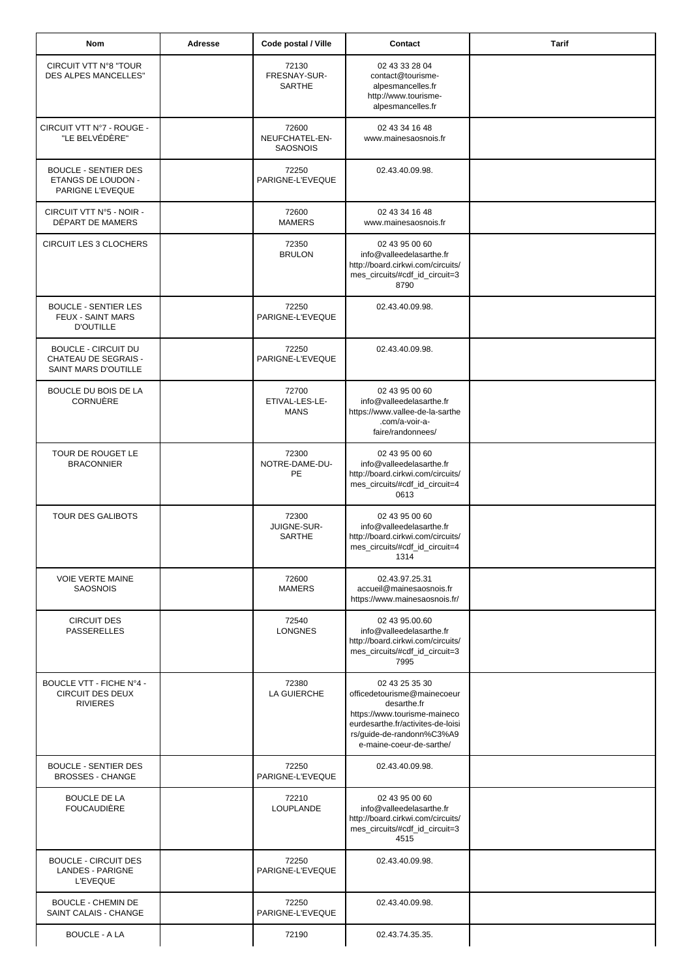| <b>Nom</b>                                                                        | Adresse | Code postal / Ville                        | Contact                                                                                                                                                                                    | <b>Tarif</b> |
|-----------------------------------------------------------------------------------|---------|--------------------------------------------|--------------------------------------------------------------------------------------------------------------------------------------------------------------------------------------------|--------------|
| <b>CIRCUIT VTT N°8 "TOUR</b><br><b>DES ALPES MANCELLES"</b>                       |         | 72130<br>FRESNAY-SUR-<br>SARTHE            | 02 43 33 28 04<br>contact@tourisme-<br>alpesmancelles.fr<br>http://www.tourisme-<br>alpesmancelles.fr                                                                                      |              |
| CIRCUIT VTT N°7 - ROUGE -<br>"LE BELVÉDÈRE"                                       |         | 72600<br>NEUFCHATEL-EN-<br><b>SAOSNOIS</b> | 02 43 34 16 48<br>www.mainesaosnois.fr                                                                                                                                                     |              |
| <b>BOUCLE - SENTIER DES</b><br>ETANGS DE LOUDON -<br>PARIGNE L'EVEQUE             |         | 72250<br>PARIGNE-L'EVEQUE                  | 02.43.40.09.98.                                                                                                                                                                            |              |
| CIRCUIT VTT N°5 - NOIR -<br>DÉPART DE MAMERS                                      |         | 72600<br><b>MAMERS</b>                     | 02 43 34 16 48<br>www.mainesaosnois.fr                                                                                                                                                     |              |
| CIRCUIT LES 3 CLOCHERS                                                            |         | 72350<br><b>BRULON</b>                     | 02 43 95 00 60<br>info@valleedelasarthe.fr<br>http://board.cirkwi.com/circuits/<br>mes_circuits/#cdf_id_circuit=3<br>8790                                                                  |              |
| <b>BOUCLE - SENTIER LES</b><br><b>FEUX - SAINT MARS</b><br><b>D'OUTILLE</b>       |         | 72250<br>PARIGNE-L'EVEQUE                  | 02.43.40.09.98.                                                                                                                                                                            |              |
| <b>BOUCLE - CIRCUIT DU</b><br><b>CHATEAU DE SEGRAIS -</b><br>SAINT MARS D'OUTILLE |         | 72250<br>PARIGNE-L'EVEQUE                  | 02.43.40.09.98.                                                                                                                                                                            |              |
| BOUCLE DU BOIS DE LA<br>CORNUÈRE                                                  |         | 72700<br>ETIVAL-LES-LE-<br><b>MANS</b>     | 02 43 95 00 60<br>info@valleedelasarthe.fr<br>https://www.vallee-de-la-sarthe<br>.com/a-voir-a-<br>faire/randonnees/                                                                       |              |
| TOUR DE ROUGET LE<br><b>BRACONNIER</b>                                            |         | 72300<br>NOTRE-DAME-DU-<br>PE              | 02 43 95 00 60<br>info@valleedelasarthe.fr<br>http://board.cirkwi.com/circuits/<br>mes_circuits/#cdf_id_circuit=4<br>0613                                                                  |              |
| <b>TOUR DES GALIBOTS</b>                                                          |         | 72300<br>JUIGNE-SUR-<br>SARTHE             | 02 43 95 00 60<br>info@valleedelasarthe.fr<br>http://board.cirkwi.com/circuits/<br>mes_circuits/#cdf_id_circuit=4<br>1314                                                                  |              |
| <b>VOIE VERTE MAINE</b><br><b>SAOSNOIS</b>                                        |         | 72600<br><b>MAMERS</b>                     | 02.43.97.25.31<br>accueil@mainesaosnois.fr<br>https://www.mainesaosnois.fr/                                                                                                                |              |
| <b>CIRCUIT DES</b><br><b>PASSERELLES</b>                                          |         | 72540<br><b>LONGNES</b>                    | 02 43 95 00 60<br>info@valleedelasarthe.fr<br>http://board.cirkwi.com/circuits/<br>mes_circuits/#cdf_id_circuit=3<br>7995                                                                  |              |
| BOUCLE VTT - FICHE N°4 -<br><b>CIRCUIT DES DEUX</b><br><b>RIVIERES</b>            |         | 72380<br>LA GUIERCHE                       | 02 43 25 35 30<br>officedetourisme@mainecoeur<br>desarthe.fr<br>https://www.tourisme-maineco<br>eurdesarthe.fr/activites-de-loisi<br>rs/guide-de-randonn%C3%A9<br>e-maine-coeur-de-sarthe/ |              |
| <b>BOUCLE - SENTIER DES</b><br><b>BROSSES - CHANGE</b>                            |         | 72250<br>PARIGNE-L'EVEQUE                  | 02.43.40.09.98.                                                                                                                                                                            |              |
| <b>BOUCLE DE LA</b><br><b>FOUCAUDIÈRE</b>                                         |         | 72210<br>LOUPLANDE                         | 02 43 95 00 60<br>info@valleedelasarthe.fr<br>http://board.cirkwi.com/circuits/<br>mes_circuits/#cdf_id_circuit=3<br>4515                                                                  |              |
| <b>BOUCLE - CIRCUIT DES</b><br><b>LANDES - PARIGNE</b><br><b>L'EVEQUE</b>         |         | 72250<br>PARIGNE-L'EVEQUE                  | 02.43.40.09.98.                                                                                                                                                                            |              |
| <b>BOUCLE - CHEMIN DE</b><br>SAINT CALAIS - CHANGE                                |         | 72250<br>PARIGNE-L'EVEQUE                  | 02.43.40.09.98.                                                                                                                                                                            |              |
| <b>BOUCLE - A LA</b>                                                              |         | 72190                                      | 02.43.74.35.35.                                                                                                                                                                            |              |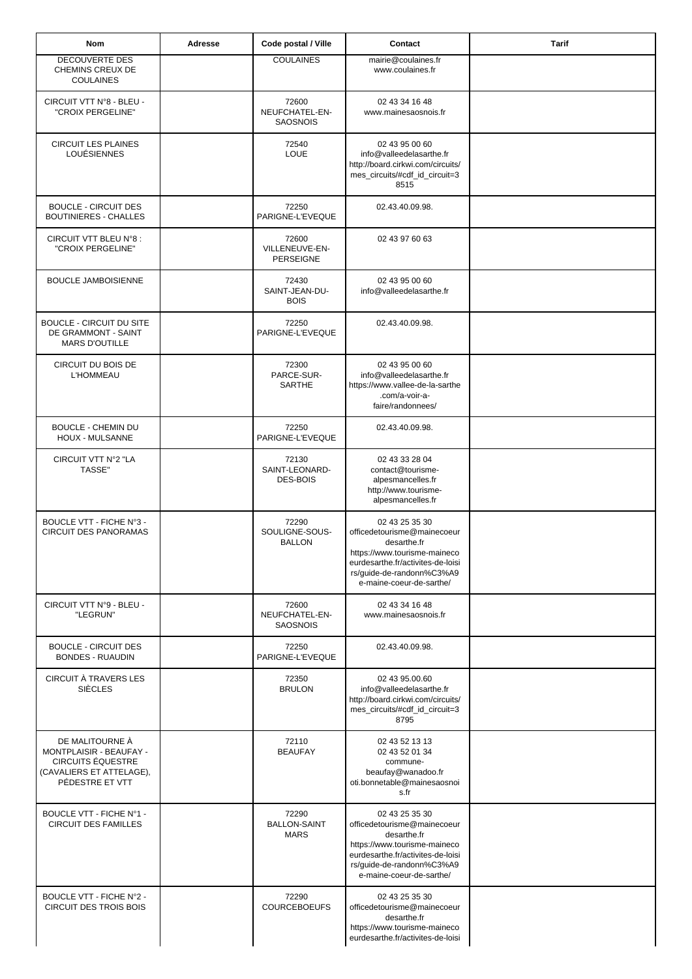| <b>Nom</b>                                                                                                            | Adresse | Code postal / Ville                         | Contact                                                                                                                                                                                    | <b>Tarif</b> |
|-----------------------------------------------------------------------------------------------------------------------|---------|---------------------------------------------|--------------------------------------------------------------------------------------------------------------------------------------------------------------------------------------------|--------------|
| DECOUVERTE DES<br>CHEMINS CREUX DE<br><b>COULAINES</b>                                                                |         | <b>COULAINES</b>                            | mairie@coulaines.fr<br>www.coulaines.fr                                                                                                                                                    |              |
| CIRCUIT VTT N°8 - BLEU -<br>"CROIX PERGELINE"                                                                         |         | 72600<br>NEUFCHATEL-EN-<br><b>SAOSNOIS</b>  | 02 43 34 16 48<br>www.mainesaosnois.fr                                                                                                                                                     |              |
| <b>CIRCUIT LES PLAINES</b><br><b>LOUÉSIENNES</b>                                                                      |         | 72540<br>LOUE                               | 02 43 95 00 60<br>info@valleedelasarthe.fr<br>http://board.cirkwi.com/circuits/<br>mes_circuits/#cdf_id_circuit=3<br>8515                                                                  |              |
| <b>BOUCLE - CIRCUIT DES</b><br><b>BOUTINIERES - CHALLES</b>                                                           |         | 72250<br>PARIGNE-L'EVEQUE                   | 02.43.40.09.98.                                                                                                                                                                            |              |
| CIRCUIT VTT BLEU N°8 :<br>"CROIX PERGELINE"                                                                           |         | 72600<br>VILLENEUVE-EN-<br><b>PERSEIGNE</b> | 02 43 97 60 63                                                                                                                                                                             |              |
| <b>BOUCLE JAMBOISIENNE</b>                                                                                            |         | 72430<br>SAINT-JEAN-DU-<br><b>BOIS</b>      | 02 43 95 00 60<br>info@valleedelasarthe.fr                                                                                                                                                 |              |
| <b>BOUCLE - CIRCUIT DU SITE</b><br>DE GRAMMONT - SAINT<br><b>MARS D'OUTILLE</b>                                       |         | 72250<br>PARIGNE-L'EVEQUE                   | 02.43.40.09.98.                                                                                                                                                                            |              |
| CIRCUIT DU BOIS DE<br><b>L'HOMMEAU</b>                                                                                |         | 72300<br>PARCE-SUR-<br><b>SARTHE</b>        | 02 43 95 00 60<br>info@valleedelasarthe.fr<br>https://www.vallee-de-la-sarthe<br>.com/a-voir-a-<br>faire/randonnees/                                                                       |              |
| <b>BOUCLE - CHEMIN DU</b><br>HOUX - MULSANNE                                                                          |         | 72250<br>PARIGNE-L'EVEQUE                   | 02.43.40.09.98.                                                                                                                                                                            |              |
| CIRCUIT VTT N°2 "LA<br>TASSE"                                                                                         |         | 72130<br>SAINT-LEONARD-<br>DES-BOIS         | 02 43 33 28 04<br>contact@tourisme-<br>alpesmancelles.fr<br>http://www.tourisme-<br>alpesmancelles.fr                                                                                      |              |
| BOUCLE VTT - FICHE N°3 -<br><b>CIRCUIT DES PANORAMAS</b>                                                              |         | 72290<br>SOULIGNE-SOUS-<br><b>BALLON</b>    | 02 43 25 35 30<br>officedetourisme@mainecoeur<br>desarthe.fr<br>https://www.tourisme-maineco<br>eurdesarthe.fr/activites-de-loisi<br>rs/guide-de-randonn%C3%A9<br>e-maine-coeur-de-sarthe/ |              |
| CIRCUIT VTT N°9 - BLEU -<br>"LEGRUN"                                                                                  |         | 72600<br>NEUFCHATEL-EN-<br><b>SAOSNOIS</b>  | 02 43 34 16 48<br>www.mainesaosnois.fr                                                                                                                                                     |              |
| <b>BOUCLE - CIRCUIT DES</b><br><b>BONDES - RUAUDIN</b>                                                                |         | 72250<br>PARIGNE-L'EVEQUE                   | 02.43.40.09.98.                                                                                                                                                                            |              |
| CIRCUIT À TRAVERS LES<br><b>SIÈCLES</b>                                                                               |         | 72350<br><b>BRULON</b>                      | 02 43 95 00 60<br>info@valleedelasarthe.fr<br>http://board.cirkwi.com/circuits/<br>mes_circuits/#cdf_id_circuit=3<br>8795                                                                  |              |
| DE MALITOURNE À<br>MONTPLAISIR - BEAUFAY -<br><b>CIRCUITS ÉQUESTRE</b><br>(CAVALIERS ET ATTELAGE),<br>PÉDESTRE ET VTT |         | 72110<br><b>BEAUFAY</b>                     | 02 43 52 13 13<br>02 43 52 01 34<br>commune-<br>beaufay@wanadoo.fr<br>oti.bonnetable@mainesaosnoi<br>s.fr                                                                                  |              |
| BOUCLE VTT - FICHE Nº1 -<br><b>CIRCUIT DES FAMILLES</b>                                                               |         | 72290<br><b>BALLON-SAINT</b><br><b>MARS</b> | 02 43 25 35 30<br>officedetourisme@mainecoeur<br>desarthe.fr<br>https://www.tourisme-maineco<br>eurdesarthe.fr/activites-de-loisi<br>rs/guide-de-randonn%C3%A9<br>e-maine-coeur-de-sarthe/ |              |
| BOUCLE VTT - FICHE N°2 -<br><b>CIRCUIT DES TROIS BOIS</b>                                                             |         | 72290<br><b>COURCEBOEUFS</b>                | 02 43 25 35 30<br>officedetourisme@mainecoeur<br>desarthe.fr<br>https://www.tourisme-maineco<br>eurdesarthe.fr/activites-de-loisi                                                          |              |